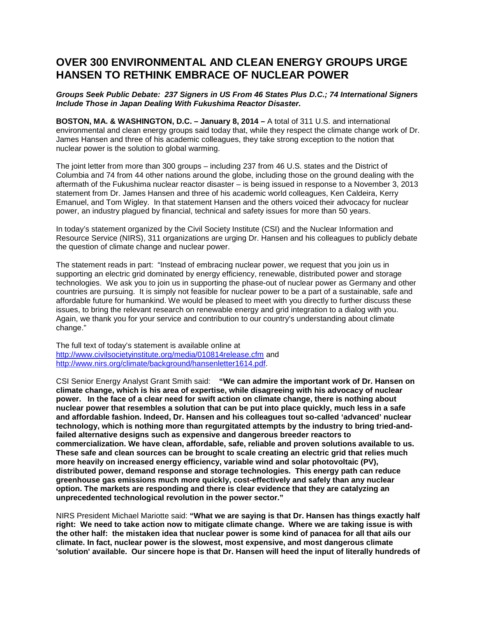## **OVER 300 ENVIRONMENTAL AND CLEAN ENERGY GROUPS URGE HANSEN TO RETHINK EMBRACE OF NUCLEAR POWER**

## *Groups Seek Public Debate: 237 Signers in US From 46 States Plus D.C.; 74 International Signers Include Those in Japan Dealing With Fukushima Reactor Disaster.*

**BOSTON, MA. & WASHINGTON, D.C. – January 8, 2014 –** A total of 311 U.S. and international environmental and clean energy groups said today that, while they respect the climate change work of Dr. James Hansen and three of his academic colleagues, they take strong exception to the notion that nuclear power is the solution to global warming.

The joint letter from more than 300 groups – including 237 from 46 U.S. states and the District of Columbia and 74 from 44 other nations around the globe, including those on the ground dealing with the aftermath of the Fukushima nuclear reactor disaster – is being issued in response to a November 3, 2013 statement from Dr. James Hansen and three of his academic world colleagues, Ken Caldeira, Kerry Emanuel, and Tom Wigley. In that statement Hansen and the others voiced their advocacy for nuclear power, an industry plagued by financial, technical and safety issues for more than 50 years.

In today's statement organized by the Civil Society Institute (CSI) and the Nuclear Information and Resource Service (NIRS), 311 organizations are urging Dr. Hansen and his colleagues to publicly debate the question of climate change and nuclear power.

The statement reads in part: "Instead of embracing nuclear power, we request that you join us in supporting an electric grid dominated by energy efficiency, renewable, distributed power and storage technologies. We ask you to join us in supporting the phase-out of nuclear power as Germany and other countries are pursuing. It is simply not feasible for nuclear power to be a part of a sustainable, safe and affordable future for humankind. We would be pleased to meet with you directly to further discuss these issues, to bring the relevant research on renewable energy and grid integration to a dialog with you. Again, we thank you for your service and contribution to our country's understanding about climate change."

The full text of today's statement is available online at <http://www.civilsocietyinstitute.org/media/010814release.cfm> and [http://www.nirs.org/climate/background/hansenletter1614.pdf.](http://www.nirs.org/climate/background/hansenletter1614.pdf)

CSI Senior Energy Analyst Grant Smith said: **"We can admire the important work of Dr. Hansen on climate change, which is his area of expertise, while disagreeing with his advocacy of nuclear power. In the face of a clear need for swift action on climate change, there is nothing about nuclear power that resembles a solution that can be put into place quickly, much less in a safe and affordable fashion. Indeed, Dr. Hansen and his colleagues tout so-called 'advanced' nuclear technology, which is nothing more than regurgitated attempts by the industry to bring tried-andfailed alternative designs such as expensive and dangerous breeder reactors to commercialization. We have clean, affordable, safe, reliable and proven solutions available to us. These safe and clean sources can be brought to scale creating an electric grid that relies much more heavily on increased energy efficiency, variable wind and solar photovoltaic (PV), distributed power, demand response and storage technologies. This energy path can reduce greenhouse gas emissions much more quickly, cost-effectively and safely than any nuclear option. The markets are responding and there is clear evidence that they are catalyzing an unprecedented technological revolution in the power sector."**

NIRS President Michael Mariotte said: **"What we are saying is that Dr. Hansen has things exactly half right: We need to take action now to mitigate climate change. Where we are taking issue is with the other half: the mistaken idea that nuclear power is some kind of panacea for all that ails our climate. In fact, nuclear power is the slowest, most expensive, and most dangerous climate 'solution' available. Our sincere hope is that Dr. Hansen will heed the input of literally hundreds of**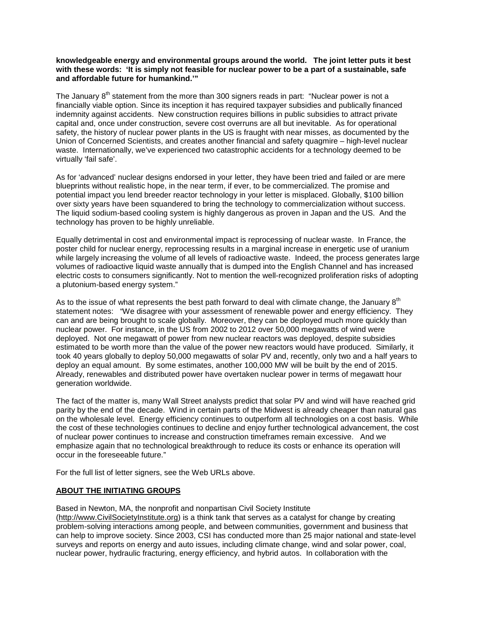## **knowledgeable energy and environmental groups around the world. The joint letter puts it best with these words: 'It is simply not feasible for nuclear power to be a part of a sustainable, safe and affordable future for humankind.'"**

The January 8<sup>th</sup> statement from the more than 300 signers reads in part: "Nuclear power is not a financially viable option. Since its inception it has required taxpayer subsidies and publically financed indemnity against accidents. New construction requires billions in public subsidies to attract private capital and, once under construction, severe cost overruns are all but inevitable. As for operational safety, the history of nuclear power plants in the US is fraught with near misses, as documented by the Union of Concerned Scientists, and creates another financial and safety quagmire – high-level nuclear waste. Internationally, we've experienced two catastrophic accidents for a technology deemed to be virtually 'fail safe'.

As for 'advanced' nuclear designs endorsed in your letter, they have been tried and failed or are mere blueprints without realistic hope, in the near term, if ever, to be commercialized. The promise and potential impact you lend breeder reactor technology in your letter is misplaced. Globally, \$100 billion over sixty years have been squandered to bring the technology to commercialization without success. The liquid sodium-based cooling system is highly dangerous as proven in Japan and the US. And the technology has proven to be highly unreliable.

Equally detrimental in cost and environmental impact is reprocessing of nuclear waste. In France, the poster child for nuclear energy, reprocessing results in a marginal increase in energetic use of uranium while largely increasing the volume of all levels of radioactive waste. Indeed, the process generates large volumes of radioactive liquid waste annually that is dumped into the English Channel and has increased electric costs to consumers significantly. Not to mention the well-recognized proliferation risks of adopting a plutonium-based energy system."

As to the issue of what represents the best path forward to deal with climate change, the January  $8<sup>th</sup>$ statement notes: "We disagree with your assessment of renewable power and energy efficiency. They can and are being brought to scale globally. Moreover, they can be deployed much more quickly than nuclear power. For instance, in the US from 2002 to 2012 over 50,000 megawatts of wind were deployed. Not one megawatt of power from new nuclear reactors was deployed, despite subsidies estimated to be worth more than the value of the power new reactors would have produced. Similarly, it took 40 years globally to deploy 50,000 megawatts of solar PV and, recently, only two and a half years to deploy an equal amount. By some estimates, another 100,000 MW will be built by the end of 2015. Already, renewables and distributed power have overtaken nuclear power in terms of megawatt hour generation worldwide.

The fact of the matter is, many Wall Street analysts predict that solar PV and wind will have reached grid parity by the end of the decade. Wind in certain parts of the Midwest is already cheaper than natural gas on the wholesale level. Energy efficiency continues to outperform all technologies on a cost basis. While the cost of these technologies continues to decline and enjoy further technological advancement, the cost of nuclear power continues to increase and construction timeframes remain excessive. And we emphasize again that no technological breakthrough to reduce its costs or enhance its operation will occur in the foreseeable future."

For the full list of letter signers, see the Web URLs above.

## **ABOUT THE INITIATING GROUPS**

Based in Newton, MA, the nonprofit and nonpartisan Civil Society Institute

[\(http://www.CivilSocietyInstitute.org\)](http://www.civilsocietyinstitute.org/) is a think tank that serves as a catalyst for change by creating problem-solving interactions among people, and between communities, government and business that can help to improve society. Since 2003, CSI has conducted more than 25 major national and state-level surveys and reports on energy and auto issues, including climate change, wind and solar power, coal, nuclear power, hydraulic fracturing, energy efficiency, and hybrid autos. In collaboration with the